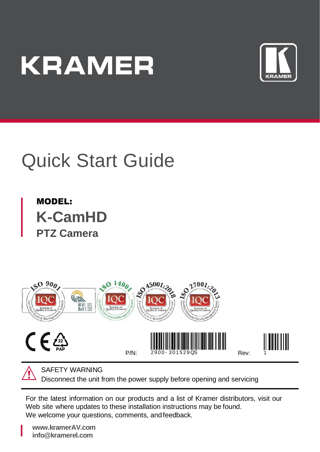# **KRAMER**



# Quick Start Guide

MODEL: **K-CamHD PTZ Camera**



SAFETY WARNING

Disconnect the unit from the power supply before opening and servicing

For the latest information on our products and a list of Kramer distributors, visit our Web site where updates to these installation instructions may be found. We welcome your questions, comments, and feedback.

**[www.kramerAV.com](http://www.kramerav.com/) info@kramerel.com**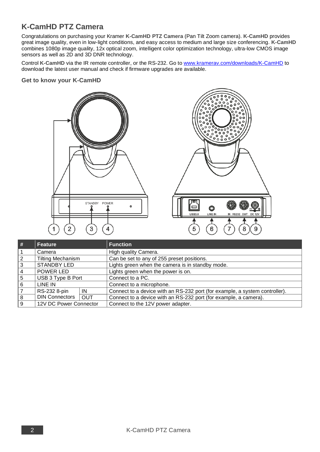## **K-CamHD PTZ Camera**

Congratulations on purchasing your Kramer **K-CamHD PTZ Camera** (Pan Tilt Zoom camera). **K-CamHD** provides great image quality, even in low-light conditions, and easy access to medium and large size conferencing. **K-CamHD** combines 1080p image quality, 12x optical zoom, intelligent color optimization technology, ultra-low CMOS image sensors as well as 2D and 3D DNR technology.

Control **K-CamHD** via the IR remote controller, or the RS-232. Go to [www.kramerav.com/downloads/K-CamHD](http://www.kramerav.com/downloads/K-CamHD) to download the latest user manual and check if firmware upgrades are available.

#### **Get to know your K-CamHD**





| ∣#             | Feature                  |            | <b>Function</b>                                                             |  |  |
|----------------|--------------------------|------------|-----------------------------------------------------------------------------|--|--|
|                | Camera                   |            | High quality Camera.                                                        |  |  |
| $\overline{2}$ | <b>Tilting Mechanism</b> |            | Can be set to any of 255 preset positions.                                  |  |  |
| 3              | <b>STANDBY LED</b>       |            | Lights green when the camera is in standby mode.                            |  |  |
| $\overline{4}$ | POWER LED                |            | Lights green when the power is on.                                          |  |  |
| . 5            | USB 3 Type B Port        |            | Connect to a PC.                                                            |  |  |
| 6              | LINE IN                  |            | Connect to a microphone.                                                    |  |  |
|                | RS-232 8-pin             | IN         | Connect to a device with an RS-232 port (for example, a system controller). |  |  |
| 8              | DIN Connectors           | <b>OUT</b> | Connect to a device with an RS-232 port (for example, a camera).            |  |  |
| 9              | 12V DC Power Connector   |            | Connect to the 12V power adapter.                                           |  |  |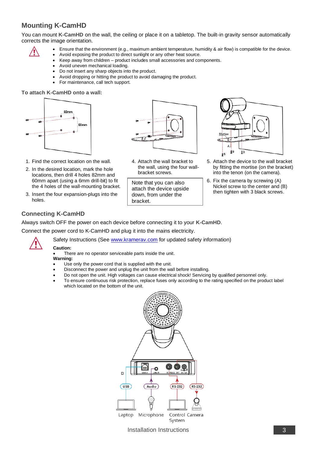### **Mounting K-CamHD**

You can mount **K-CamHD** on the wall, the ceiling or place it on a tabletop. The built-in gravity sensor automatically corrects the image orientation.

- Ensure that the environment (e.g., maximum ambient temperature, humidity & air flow) is compatible for the device.
- 
- Avoid exposing the product to direct sunlight or any other heat source.
- Keep away from children product includes small accessories and components.
- Avoid uneven mechanical loading.
- Do not insert any sharp objects into the product.
- Avoid dropping or hitting the product to avoid damaging the product.
- For maintenance, call tech support.

#### **To attach K-CamHD onto a wall:**





- 2. In the desired location, mark the hole locations, then drill 4 holes 82mm and 60mm apart (using a 6mm drill-bit) to fit the 4 holes of the wall-mounting bracket.
- 3. Insert the four expansion-plugs into the holes.



4. Attach the wall bracket to the wall, using the four wallbracket screws.

Note that you can also attach the device upside down, from under the bracket.



- 5. Attach the device to the wall bracket by fitting the mortise (on the bracket) into the tenon (on the camera).
- 6. Fix the camera by screwing (A) Nickel screw to the center and (B) then tighten with 3 black screws.

#### **Connecting K-CamHD**

Always switch OFF the power on each device before connecting it to your **K-CamHD**.

Connect the power cord to K-CamHD and plug it into the mains electricity.



#### **Caution:**

There are no operator serviceable parts inside the unit.

- **Warning:**
- Use only the power cord that is supplied with the unit.
- Disconnect the power and unplug the unit from the wall before installing.

Safety Instructions (Se[e www.kramerav.com](http://www.kramerav.com/) for updated safety information)

- Do not open the unit. High voltages can cause electrical shock! Servicing by qualified personnel only.
- To ensure continuous risk protection, replace fuses only according to the rating specified on the product label which located on the bottom of the unit.